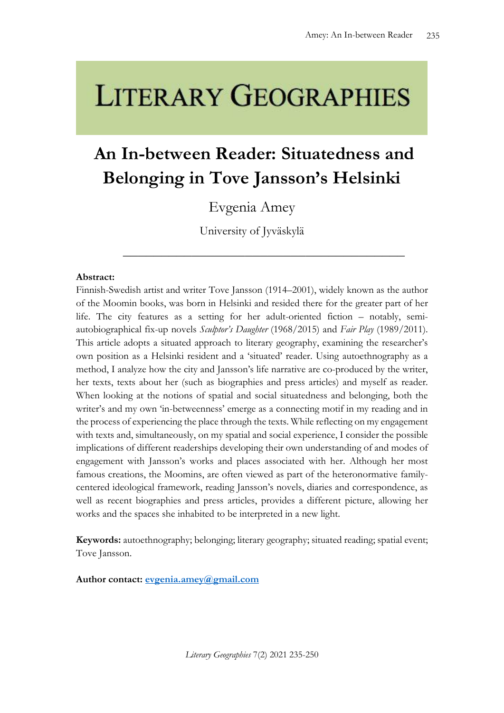# **LITERARY GEOGRAPHIES**

## **An In-between Reader: Situatedness and Belonging in Tove Jansson's Helsinki**

### Evgenia Amey

University of Jyväskylä

\_\_\_\_\_\_\_\_\_\_\_\_\_\_\_\_\_\_\_\_\_\_\_\_\_\_\_\_\_\_\_\_\_\_\_\_\_

#### **Abstract:**

Finnish-Swedish artist and writer Tove Jansson (1914–2001), widely known as the author of the Moomin books, was born in Helsinki and resided there for the greater part of her life. The city features as a setting for her adult-oriented fiction – notably, semiautobiographical fix-up novels *Sculptor's Daughter* (1968/2015) and *Fair Play* (1989/2011). This article adopts a situated approach to literary geography, examining the researcher's own position as a Helsinki resident and a 'situated' reader. Using autoethnography as a method, I analyze how the city and Jansson's life narrative are co-produced by the writer, her texts, texts about her (such as biographies and press articles) and myself as reader. When looking at the notions of spatial and social situatedness and belonging, both the writer's and my own 'in-betweenness' emerge as a connecting motif in my reading and in the process of experiencing the place through the texts. While reflecting on my engagement with texts and, simultaneously, on my spatial and social experience, I consider the possible implications of different readerships developing their own understanding of and modes of engagement with Jansson's works and places associated with her. Although her most famous creations, the Moomins, are often viewed as part of the heteronormative familycentered ideological framework, reading Jansson's novels, diaries and correspondence, as well as recent biographies and press articles, provides a different picture, allowing her works and the spaces she inhabited to be interpreted in a new light.

**Keywords:** autoethnography; belonging; literary geography; situated reading; spatial event; Tove Jansson.

**Author contact: [evgenia.amey@gmail.com](mailto:evgenia.amey@gmail.com)**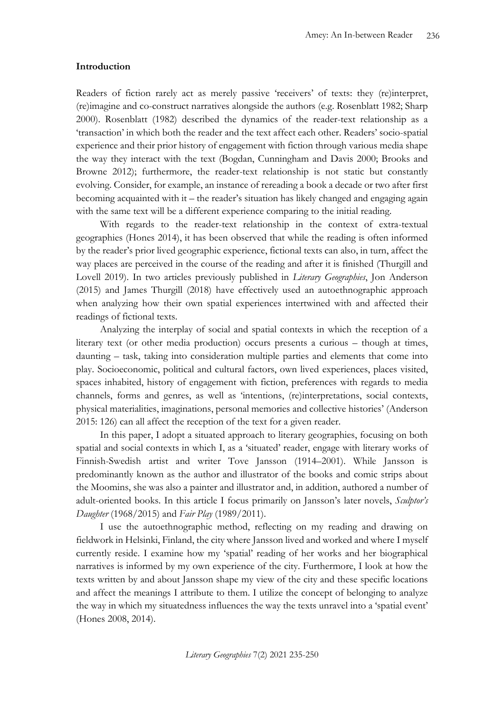#### **Introduction**

Readers of fiction rarely act as merely passive 'receivers' of texts: they (re)interpret, (re)imagine and co-construct narratives alongside the authors (e.g. Rosenblatt 1982; Sharp 2000). Rosenblatt (1982) described the dynamics of the reader-text relationship as a 'transaction' in which both the reader and the text affect each other. Readers' socio-spatial experience and their prior history of engagement with fiction through various media shape the way they interact with the text (Bogdan, Cunningham and Davis 2000; Brooks and Browne 2012); furthermore, the reader-text relationship is not static but constantly evolving. Consider, for example, an instance of rereading a book a decade or two after first becoming acquainted with it – the reader's situation has likely changed and engaging again with the same text will be a different experience comparing to the initial reading.

With regards to the reader-text relationship in the context of extra-textual geographies (Hones 2014), it has been observed that while the reading is often informed by the reader's prior lived geographic experience, fictional texts can also, in turn, affect the way places are perceived in the course of the reading and after it is finished (Thurgill and Lovell 2019). In two articles previously published in *Literary Geographies*, Jon Anderson (2015) and James Thurgill (2018) have effectively used an autoethnographic approach when analyzing how their own spatial experiences intertwined with and affected their readings of fictional texts.

Analyzing the interplay of social and spatial contexts in which the reception of a literary text (or other media production) occurs presents a curious – though at times, daunting – task, taking into consideration multiple parties and elements that come into play. Socioeconomic, political and cultural factors, own lived experiences, places visited, spaces inhabited, history of engagement with fiction, preferences with regards to media channels, forms and genres, as well as 'intentions, (re)interpretations, social contexts, physical materialities, imaginations, personal memories and collective histories' (Anderson 2015: 126) can all affect the reception of the text for a given reader.

In this paper, I adopt a situated approach to literary geographies, focusing on both spatial and social contexts in which I, as a 'situated' reader, engage with literary works of Finnish-Swedish artist and writer Tove Jansson (1914–2001). While Jansson is predominantly known as the author and illustrator of the books and comic strips about the Moomins, she was also a painter and illustrator and, in addition, authored a number of adult-oriented books. In this article I focus primarily on Jansson's later novels, *Sculptor's Daughter* (1968/2015) and *Fair Play* (1989/2011).

I use the autoethnographic method, reflecting on my reading and drawing on fieldwork in Helsinki, Finland, the city where Jansson lived and worked and where I myself currently reside. I examine how my 'spatial' reading of her works and her biographical narratives is informed by my own experience of the city. Furthermore, I look at how the texts written by and about Jansson shape my view of the city and these specific locations and affect the meanings I attribute to them. I utilize the concept of belonging to analyze the way in which my situatedness influences the way the texts unravel into a 'spatial event' (Hones 2008, 2014).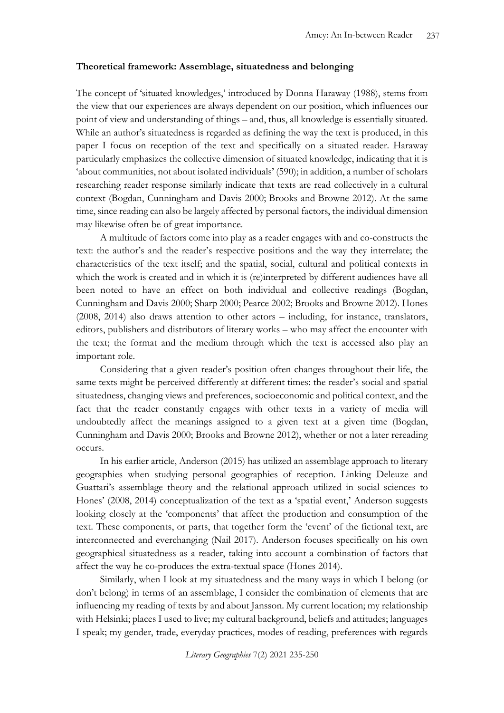#### **Theoretical framework: Assemblage, situatedness and belonging**

The concept of 'situated knowledges,' introduced by Donna Haraway (1988), stems from the view that our experiences are always dependent on our position, which influences our point of view and understanding of things – and, thus, all knowledge is essentially situated. While an author's situatedness is regarded as defining the way the text is produced, in this paper I focus on reception of the text and specifically on a situated reader. Haraway particularly emphasizes the collective dimension of situated knowledge, indicating that it is 'about communities, not about isolated individuals' (590); in addition, a number of scholars researching reader response similarly indicate that texts are read collectively in a cultural context (Bogdan, Cunningham and Davis 2000; Brooks and Browne 2012). At the same time, since reading can also be largely affected by personal factors, the individual dimension may likewise often be of great importance.

A multitude of factors come into play as a reader engages with and co-constructs the text: the author's and the reader's respective positions and the way they interrelate; the characteristics of the text itself; and the spatial, social, cultural and political contexts in which the work is created and in which it is (re)interpreted by different audiences have all been noted to have an effect on both individual and collective readings (Bogdan, Cunningham and Davis 2000; Sharp 2000; Pearce 2002; Brooks and Browne 2012). Hones (2008, 2014) also draws attention to other actors – including, for instance, translators, editors, publishers and distributors of literary works – who may affect the encounter with the text; the format and the medium through which the text is accessed also play an important role.

Considering that a given reader's position often changes throughout their life, the same texts might be perceived differently at different times: the reader's social and spatial situatedness, changing views and preferences, socioeconomic and political context, and the fact that the reader constantly engages with other texts in a variety of media will undoubtedly affect the meanings assigned to a given text at a given time (Bogdan, Cunningham and Davis 2000; Brooks and Browne 2012), whether or not a later rereading occurs.

In his earlier article, Anderson (2015) has utilized an assemblage approach to literary geographies when studying personal geographies of reception. Linking Deleuze and Guattari's assemblage theory and the relational approach utilized in social sciences to Hones' (2008, 2014) conceptualization of the text as a 'spatial event,' Anderson suggests looking closely at the 'components' that affect the production and consumption of the text. These components, or parts, that together form the 'event' of the fictional text, are interconnected and everchanging (Nail 2017). Anderson focuses specifically on his own geographical situatedness as a reader, taking into account a combination of factors that affect the way he co-produces the extra-textual space (Hones 2014).

Similarly, when I look at my situatedness and the many ways in which I belong (or don't belong) in terms of an assemblage, I consider the combination of elements that are influencing my reading of texts by and about Jansson. My current location; my relationship with Helsinki; places I used to live; my cultural background, beliefs and attitudes; languages I speak; my gender, trade, everyday practices, modes of reading, preferences with regards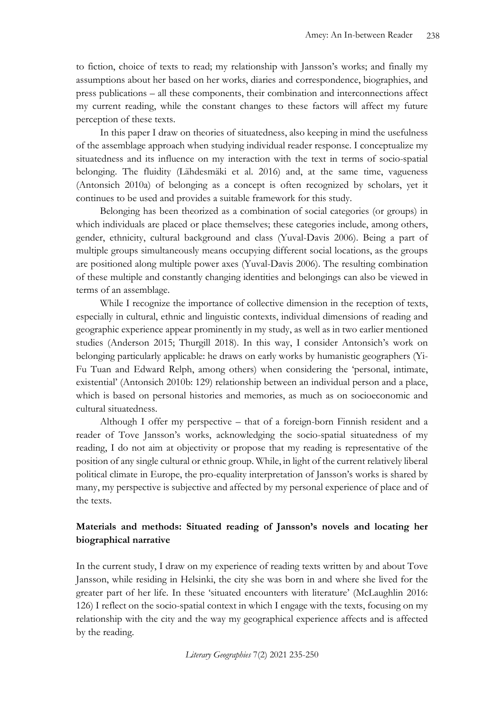to fiction, choice of texts to read; my relationship with Jansson's works; and finally my assumptions about her based on her works, diaries and correspondence, biographies, and press publications – all these components, their combination and interconnections affect my current reading, while the constant changes to these factors will affect my future perception of these texts.

In this paper I draw on theories of situatedness, also keeping in mind the usefulness of the assemblage approach when studying individual reader response. I conceptualize my situatedness and its influence on my interaction with the text in terms of socio-spatial belonging. The fluidity (Lähdesmäki et al. 2016) and, at the same time, vagueness (Antonsich 2010a) of belonging as a concept is often recognized by scholars, yet it continues to be used and provides a suitable framework for this study.

Belonging has been theorized as a combination of social categories (or groups) in which individuals are placed or place themselves; these categories include, among others, gender, ethnicity, cultural background and class (Yuval-Davis 2006). Being a part of multiple groups simultaneously means occupying different social locations, as the groups are positioned along multiple power axes (Yuval-Davis 2006). The resulting combination of these multiple and constantly changing identities and belongings can also be viewed in terms of an assemblage.

While I recognize the importance of collective dimension in the reception of texts, especially in cultural, ethnic and linguistic contexts, individual dimensions of reading and geographic experience appear prominently in my study, as well as in two earlier mentioned studies (Anderson 2015; Thurgill 2018). In this way, I consider Antonsich's work on belonging particularly applicable: he draws on early works by humanistic geographers (Yi-Fu Tuan and Edward Relph, among others) when considering the 'personal, intimate, existential' (Antonsich 2010b: 129) relationship between an individual person and a place, which is based on personal histories and memories, as much as on socioeconomic and cultural situatedness.

Although I offer my perspective – that of a foreign-born Finnish resident and a reader of Tove Jansson's works, acknowledging the socio-spatial situatedness of my reading, I do not aim at objectivity or propose that my reading is representative of the position of any single cultural or ethnic group. While, in light of the current relatively liberal political climate in Europe, the pro-equality interpretation of Jansson's works is shared by many, my perspective is subjective and affected by my personal experience of place and of the texts.

#### **Materials and methods: Situated reading of Jansson's novels and locating her biographical narrative**

In the current study, I draw on my experience of reading texts written by and about Tove Jansson, while residing in Helsinki, the city she was born in and where she lived for the greater part of her life. In these 'situated encounters with literature' (McLaughlin 2016: 126) I reflect on the socio-spatial context in which I engage with the texts, focusing on my relationship with the city and the way my geographical experience affects and is affected by the reading.

*Literary Geographies* 7(2) 2021 235-250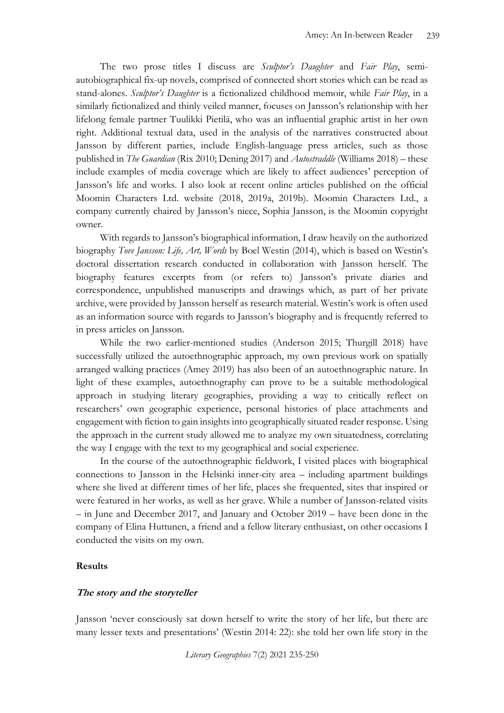The two prose titles I discuss are *Sculptor's Daughter* and *Fair Play*, semiautobiographical fix-up novels, comprised of connected short stories which can be read as stand-alones. *Sculptor's Daughter* is a fictionalized childhood memoir, while *Fair Play*, in a similarly fictionalized and thinly veiled manner, focuses on Jansson's relationship with her lifelong female partner Tuulikki Pietilä, who was an influential graphic artist in her own right. Additional textual data, used in the analysis of the narratives constructed about Jansson by different parties, include English-language press articles, such as those published in *The Guardian* (Rix 2010; Dening 2017) and *Autostraddle* (Williams 2018) – these include examples of media coverage which are likely to affect audiences' perception of Jansson's life and works. I also look at recent online articles published on the official Moomin Characters Ltd. website (2018, 2019a, 2019b). Moomin Characters Ltd., a company currently chaired by Jansson's niece, Sophia Jansson, is the Moomin copyright owner.

With regards to Jansson's biographical information, I draw heavily on the authorized biography *Tove Jansson: Life, Art, Words* by Boel Westin (2014), which is based on Westin's doctoral dissertation research conducted in collaboration with Jansson herself. The biography features excerpts from (or refers to) Jansson's private diaries and correspondence, unpublished manuscripts and drawings which, as part of her private archive, were provided by Jansson herself as research material. Westin's work is often used as an information source with regards to Jansson's biography and is frequently referred to in press articles on Jansson.

While the two earlier-mentioned studies (Anderson 2015; Thurgill 2018) have successfully utilized the autoethnographic approach, my own previous work on spatially arranged walking practices (Amey 2019) has also been of an autoethnographic nature. In light of these examples, autoethnography can prove to be a suitable methodological approach in studying literary geographies, providing a way to critically reflect on researchers' own geographic experience, personal histories of place attachments and engagement with fiction to gain insights into geographically situated reader response. Using the approach in the current study allowed me to analyze my own situatedness, correlating the way I engage with the text to my geographical and social experience.

In the course of the autoethnographic fieldwork, I visited places with biographical connections to Jansson in the Helsinki inner-city area – including apartment buildings where she lived at different times of her life, places she frequented, sites that inspired or were featured in her works, as well as her grave. While a number of Jansson-related visits – in June and December 2017, and January and October 2019 – have been done in the company of Elina Huttunen, a friend and a fellow literary enthusiast, on other occasions I conducted the visits on my own.

#### **Results**

#### **The story and the storyteller**

Jansson 'never consciously sat down herself to write the story of her life, but there are many lesser texts and presentations' (Westin 2014: 22): she told her own life story in the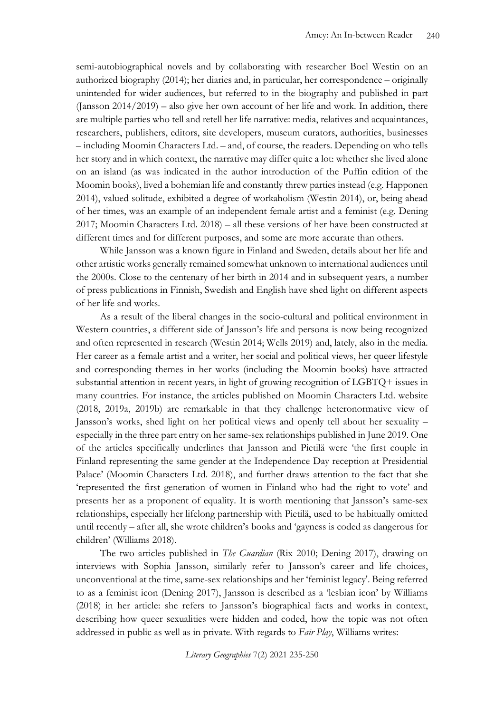semi-autobiographical novels and by collaborating with researcher Boel Westin on an authorized biography (2014); her diaries and, in particular, her correspondence – originally unintended for wider audiences, but referred to in the biography and published in part (Jansson 2014/2019) – also give her own account of her life and work. In addition, there are multiple parties who tell and retell her life narrative: media, relatives and acquaintances, researchers, publishers, editors, site developers, museum curators, authorities, businesses – including Moomin Characters Ltd. – and, of course, the readers. Depending on who tells her story and in which context, the narrative may differ quite a lot: whether she lived alone on an island (as was indicated in the author introduction of the Puffin edition of the Moomin books), lived a bohemian life and constantly threw parties instead (e.g. Happonen 2014), valued solitude, exhibited a degree of workaholism (Westin 2014), or, being ahead of her times, was an example of an independent female artist and a feminist (e.g. Dening 2017; Moomin Characters Ltd. 2018) – all these versions of her have been constructed at different times and for different purposes, and some are more accurate than others.

While Jansson was a known figure in Finland and Sweden, details about her life and other artistic works generally remained somewhat unknown to international audiences until the 2000s. Close to the centenary of her birth in 2014 and in subsequent years, a number of press publications in Finnish, Swedish and English have shed light on different aspects of her life and works.

As a result of the liberal changes in the socio-cultural and political environment in Western countries, a different side of Jansson's life and persona is now being recognized and often represented in research (Westin 2014; Wells 2019) and, lately, also in the media. Her career as a female artist and a writer, her social and political views, her queer lifestyle and corresponding themes in her works (including the Moomin books) have attracted substantial attention in recent years, in light of growing recognition of LGBTQ+ issues in many countries. For instance, the articles published on Moomin Characters Ltd. website (2018, 2019a, 2019b) are remarkable in that they challenge heteronormative view of Jansson's works, shed light on her political views and openly tell about her sexuality – especially in the three part entry on her same-sex relationships published in June 2019. One of the articles specifically underlines that Jansson and Pietilä were 'the first couple in Finland representing the same gender at the Independence Day reception at Presidential Palace' (Moomin Characters Ltd. 2018), and further draws attention to the fact that she 'represented the first generation of women in Finland who had the right to vote' and presents her as a proponent of equality. It is worth mentioning that Jansson's same-sex relationships, especially her lifelong partnership with Pietilä, used to be habitually omitted until recently – after all, she wrote children's books and 'gayness is coded as dangerous for children' (Williams 2018).

The two articles published in *The Guardian* (Rix 2010; Dening 2017), drawing on interviews with Sophia Jansson, similarly refer to Jansson's career and life choices, unconventional at the time, same-sex relationships and her 'feminist legacy'. Being referred to as a feminist icon (Dening 2017), Jansson is described as a 'lesbian icon' by Williams (2018) in her article: she refers to Jansson's biographical facts and works in context, describing how queer sexualities were hidden and coded, how the topic was not often addressed in public as well as in private. With regards to *Fair Play*, Williams writes: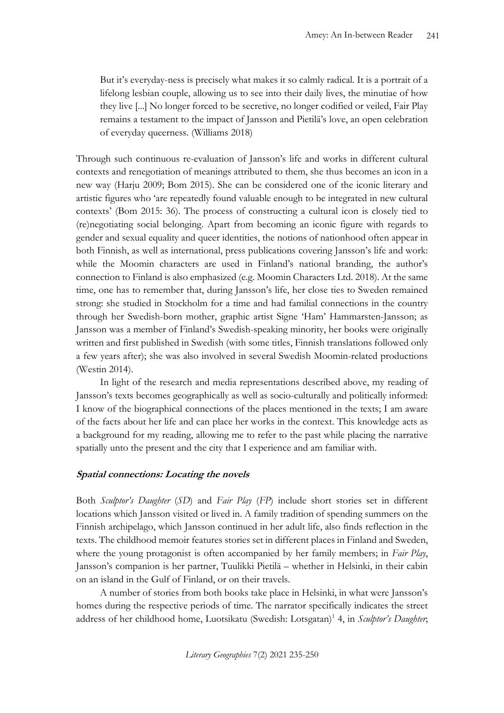But it's everyday-ness is precisely what makes it so calmly radical. It is a portrait of a lifelong lesbian couple, allowing us to see into their daily lives, the minutiae of how they live [...] No longer forced to be secretive, no longer codified or veiled, Fair Play remains a testament to the impact of Jansson and Pietilä's love, an open celebration of everyday queerness. (Williams 2018)

Through such continuous re-evaluation of Jansson's life and works in different cultural contexts and renegotiation of meanings attributed to them, she thus becomes an icon in a new way (Harju 2009; Bom 2015). She can be considered one of the iconic literary and artistic figures who 'are repeatedly found valuable enough to be integrated in new cultural contexts' (Bom 2015: 36). The process of constructing a cultural icon is closely tied to (re)negotiating social belonging. Apart from becoming an iconic figure with regards to gender and sexual equality and queer identities, the notions of nationhood often appear in both Finnish, as well as international, press publications covering Jansson's life and work: while the Moomin characters are used in Finland's national branding, the author's connection to Finland is also emphasized (e.g. Moomin Characters Ltd. 2018). At the same time, one has to remember that, during Jansson's life, her close ties to Sweden remained strong: she studied in Stockholm for a time and had familial connections in the country through her Swedish-born mother, graphic artist Signe 'Ham' Hammarsten-Jansson; as Jansson was a member of Finland's Swedish-speaking minority, her books were originally written and first published in Swedish (with some titles, Finnish translations followed only a few years after); she was also involved in several Swedish Moomin-related productions (Westin 2014).

In light of the research and media representations described above, my reading of Jansson's texts becomes geographically as well as socio-culturally and politically informed: I know of the biographical connections of the places mentioned in the texts; I am aware of the facts about her life and can place her works in the context. This knowledge acts as a background for my reading, allowing me to refer to the past while placing the narrative spatially unto the present and the city that I experience and am familiar with.

#### **Spatial connections: Locating the novels**

Both *Sculptor's Daughter* (*SD*) and *Fair Play* (*FP*) include short stories set in different locations which Jansson visited or lived in. A family tradition of spending summers on the Finnish archipelago, which Jansson continued in her adult life, also finds reflection in the texts. The childhood memoir features stories set in different places in Finland and Sweden, where the young protagonist is often accompanied by her family members; in *Fair Play*, Jansson's companion is her partner, Tuulikki Pietilä – whether in Helsinki, in their cabin on an island in the Gulf of Finland, or on their travels.

A number of stories from both books take place in Helsinki, in what were Jansson's homes during the respective periods of time. The narrator specifically indicates the street address of her childhood home, Luotsikatu (Swedish: Lotsgatan)<sup>1</sup> 4, in *Sculptor's Daughter*;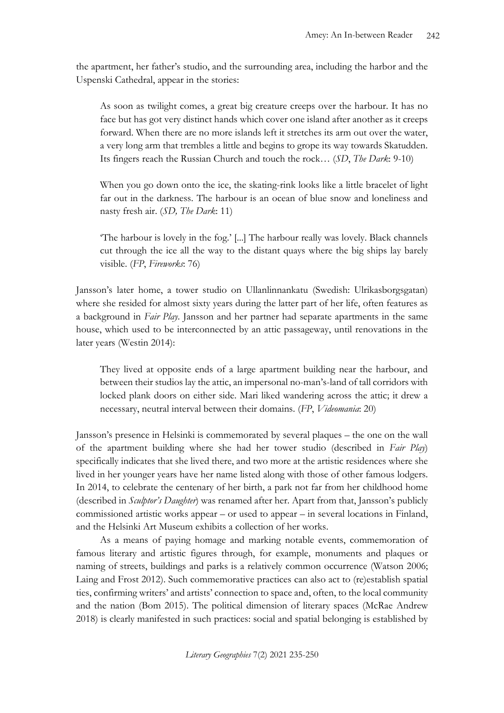the apartment, her father's studio, and the surrounding area, including the harbor and the Uspenski Cathedral, appear in the stories:

As soon as twilight comes, a great big creature creeps over the harbour. It has no face but has got very distinct hands which cover one island after another as it creeps forward. When there are no more islands left it stretches its arm out over the water, a very long arm that trembles a little and begins to grope its way towards Skatudden. Its fingers reach the Russian Church and touch the rock… (*SD*, *The Dark*: 9-10)

When you go down onto the ice, the skating-rink looks like a little bracelet of light far out in the darkness. The harbour is an ocean of blue snow and loneliness and nasty fresh air. (*SD, The Dark*: 11)

'The harbour is lovely in the fog.' [...] The harbour really was lovely. Black channels cut through the ice all the way to the distant quays where the big ships lay barely visible. (*FP*, *Fireworks*: 76)

Jansson's later home, a tower studio on Ullanlinnankatu (Swedish: Ulrikasborgsgatan) where she resided for almost sixty years during the latter part of her life, often features as a background in *Fair Play*. Jansson and her partner had separate apartments in the same house, which used to be interconnected by an attic passageway, until renovations in the later years (Westin 2014):

They lived at opposite ends of a large apartment building near the harbour, and between their studios lay the attic, an impersonal no-man's-land of tall corridors with locked plank doors on either side. Mari liked wandering across the attic; it drew a necessary, neutral interval between their domains. (*FP*, *Videomania*: 20)

Jansson's presence in Helsinki is commemorated by several plaques – the one on the wall of the apartment building where she had her tower studio (described in *Fair Play*) specifically indicates that she lived there, and two more at the artistic residences where she lived in her younger years have her name listed along with those of other famous lodgers. In 2014, to celebrate the centenary of her birth, a park not far from her childhood home (described in *Sculptor's Daughter*) was renamed after her. Apart from that, Jansson's publicly commissioned artistic works appear – or used to appear – in several locations in Finland, and the Helsinki Art Museum exhibits a collection of her works.

As a means of paying homage and marking notable events, commemoration of famous literary and artistic figures through, for example, monuments and plaques or naming of streets, buildings and parks is a relatively common occurrence (Watson 2006; Laing and Frost 2012). Such commemorative practices can also act to (re)establish spatial ties, confirming writers' and artists' connection to space and, often, to the local community and the nation (Bom 2015). The political dimension of literary spaces (McRae Andrew 2018) is clearly manifested in such practices: social and spatial belonging is established by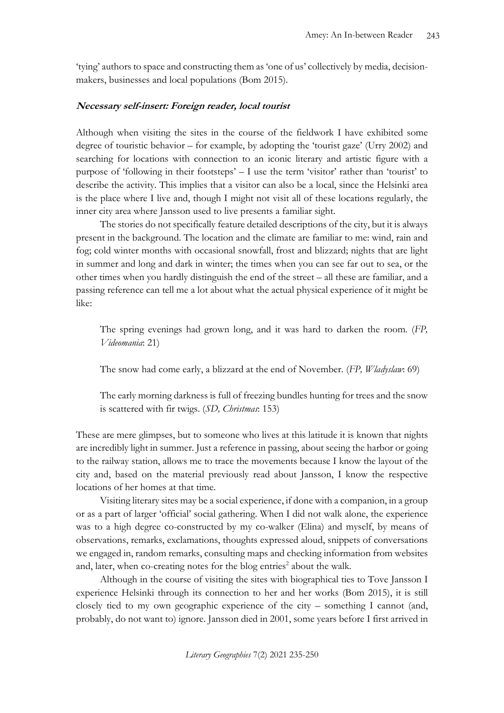'tying' authors to space and constructing them as 'one of us' collectively by media, decisionmakers, businesses and local populations (Bom 2015).

#### **Necessary self-insert: Foreign reader, local tourist**

Although when visiting the sites in the course of the fieldwork I have exhibited some degree of touristic behavior – for example, by adopting the 'tourist gaze' (Urry 2002) and searching for locations with connection to an iconic literary and artistic figure with a purpose of 'following in their footsteps' – I use the term 'visitor' rather than 'tourist' to describe the activity. This implies that a visitor can also be a local, since the Helsinki area is the place where I live and, though I might not visit all of these locations regularly, the inner city area where Jansson used to live presents a familiar sight.

The stories do not specifically feature detailed descriptions of the city, but it is always present in the background. The location and the climate are familiar to me: wind, rain and fog; cold winter months with occasional snowfall, frost and blizzard; nights that are light in summer and long and dark in winter; the times when you can see far out to sea, or the other times when you hardly distinguish the end of the street – all these are familiar, and a passing reference can tell me a lot about what the actual physical experience of it might be like:

The spring evenings had grown long, and it was hard to darken the room. (*FP, Videomania*: 21)

The snow had come early, a blizzard at the end of November. (*FP, Wladyslaw*: 69)

The early morning darkness is full of freezing bundles hunting for trees and the snow is scattered with fir twigs. (*SD, Christmas*: 153)

These are mere glimpses, but to someone who lives at this latitude it is known that nights are incredibly light in summer. Just a reference in passing, about seeing the harbor or going to the railway station, allows me to trace the movements because I know the layout of the city and, based on the material previously read about Jansson, I know the respective locations of her homes at that time.

Visiting literary sites may be a social experience, if done with a companion, in a group or as a part of larger 'official' social gathering. When I did not walk alone, the experience was to a high degree co-constructed by my co-walker (Elina) and myself, by means of observations, remarks, exclamations, thoughts expressed aloud, snippets of conversations we engaged in, random remarks, consulting maps and checking information from websites and, later, when co-creating notes for the blog entries<sup>2</sup> about the walk.

Although in the course of visiting the sites with biographical ties to Tove Jansson I experience Helsinki through its connection to her and her works (Bom 2015), it is still closely tied to my own geographic experience of the city – something I cannot (and, probably, do not want to) ignore. Jansson died in 2001, some years before I first arrived in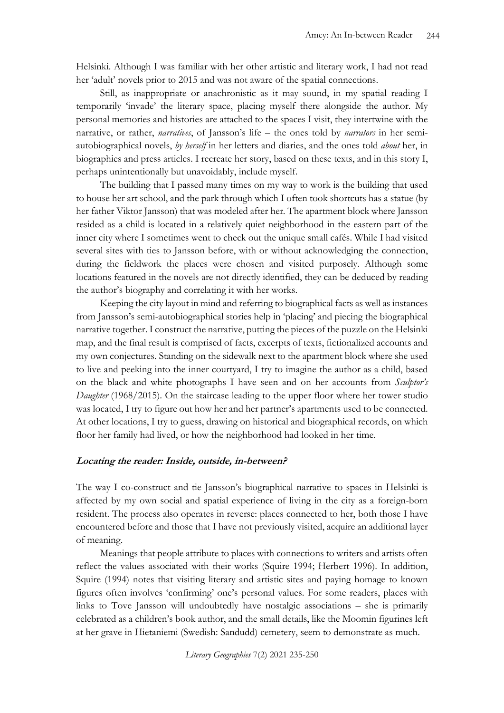Helsinki. Although I was familiar with her other artistic and literary work, I had not read her 'adult' novels prior to 2015 and was not aware of the spatial connections.

Still, as inappropriate or anachronistic as it may sound, in my spatial reading I temporarily 'invade' the literary space, placing myself there alongside the author. My personal memories and histories are attached to the spaces I visit, they intertwine with the narrative, or rather, *narratives*, of Jansson's life – the ones told by *narrators* in her semiautobiographical novels, *by herself* in her letters and diaries, and the ones told *about* her, in biographies and press articles. I recreate her story, based on these texts, and in this story I, perhaps unintentionally but unavoidably, include myself.

The building that I passed many times on my way to work is the building that used to house her art school, and the park through which I often took shortcuts has a statue (by her father Viktor Jansson) that was modeled after her. The apartment block where Jansson resided as a child is located in a relatively quiet neighborhood in the eastern part of the inner city where I sometimes went to check out the unique small cafés. While I had visited several sites with ties to Jansson before, with or without acknowledging the connection, during the fieldwork the places were chosen and visited purposely. Although some locations featured in the novels are not directly identified, they can be deduced by reading the author's biography and correlating it with her works.

Keeping the city layout in mind and referring to biographical facts as well as instances from Jansson's semi-autobiographical stories help in 'placing' and piecing the biographical narrative together. I construct the narrative, putting the pieces of the puzzle on the Helsinki map, and the final result is comprised of facts, excerpts of texts, fictionalized accounts and my own conjectures. Standing on the sidewalk next to the apartment block where she used to live and peeking into the inner courtyard, I try to imagine the author as a child, based on the black and white photographs I have seen and on her accounts from *Sculptor's Daughter* (1968/2015)*.* On the staircase leading to the upper floor where her tower studio was located, I try to figure out how her and her partner's apartments used to be connected. At other locations, I try to guess, drawing on historical and biographical records, on which floor her family had lived, or how the neighborhood had looked in her time.

#### **Locating the reader: Inside, outside, in-between?**

The way I co-construct and tie Jansson's biographical narrative to spaces in Helsinki is affected by my own social and spatial experience of living in the city as a foreign-born resident. The process also operates in reverse: places connected to her, both those I have encountered before and those that I have not previously visited, acquire an additional layer of meaning.

Meanings that people attribute to places with connections to writers and artists often reflect the values associated with their works (Squire 1994; Herbert 1996). In addition, Squire (1994) notes that visiting literary and artistic sites and paying homage to known figures often involves 'confirming' one's personal values. For some readers, places with links to Tove Jansson will undoubtedly have nostalgic associations – she is primarily celebrated as a children's book author, and the small details, like the Moomin figurines left at her grave in Hietaniemi (Swedish: Sandudd) cemetery, seem to demonstrate as much.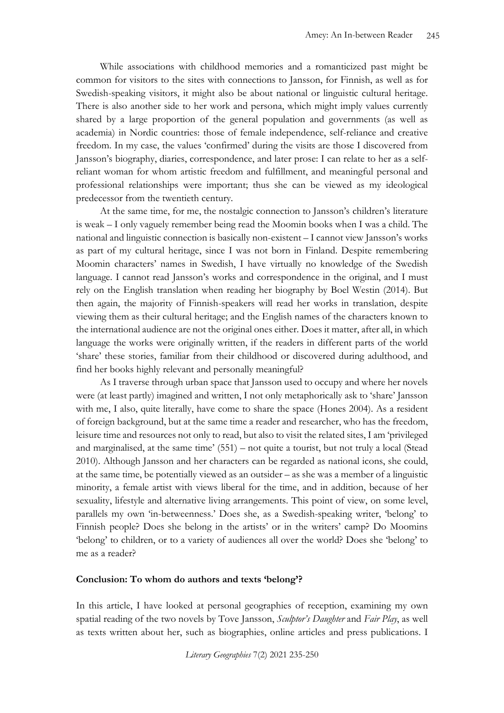While associations with childhood memories and a romanticized past might be common for visitors to the sites with connections to Jansson, for Finnish, as well as for Swedish-speaking visitors, it might also be about national or linguistic cultural heritage. There is also another side to her work and persona, which might imply values currently shared by a large proportion of the general population and governments (as well as academia) in Nordic countries: those of female independence, self-reliance and creative freedom. In my case, the values 'confirmed' during the visits are those I discovered from Jansson's biography, diaries, correspondence, and later prose: I can relate to her as a selfreliant woman for whom artistic freedom and fulfillment, and meaningful personal and professional relationships were important; thus she can be viewed as my ideological predecessor from the twentieth century.

At the same time, for me, the nostalgic connection to Jansson's children's literature is weak – I only vaguely remember being read the Moomin books when I was a child. The national and linguistic connection is basically non-existent – I cannot view Jansson's works as part of my cultural heritage, since I was not born in Finland. Despite remembering Moomin characters' names in Swedish, I have virtually no knowledge of the Swedish language. I cannot read Jansson's works and correspondence in the original, and I must rely on the English translation when reading her biography by Boel Westin (2014). But then again, the majority of Finnish-speakers will read her works in translation, despite viewing them as their cultural heritage; and the English names of the characters known to the international audience are not the original ones either. Does it matter, after all, in which language the works were originally written, if the readers in different parts of the world 'share' these stories, familiar from their childhood or discovered during adulthood, and find her books highly relevant and personally meaningful?

As I traverse through urban space that Jansson used to occupy and where her novels were (at least partly) imagined and written, I not only metaphorically ask to 'share' Jansson with me, I also, quite literally, have come to share the space (Hones 2004). As a resident of foreign background, but at the same time a reader and researcher, who has the freedom, leisure time and resources not only to read, but also to visit the related sites, I am 'privileged and marginalised, at the same time' (551) – not quite a tourist, but not truly a local (Stead 2010). Although Jansson and her characters can be regarded as national icons, she could, at the same time, be potentially viewed as an outsider – as she was a member of a linguistic minority, a female artist with views liberal for the time, and in addition, because of her sexuality, lifestyle and alternative living arrangements. This point of view, on some level, parallels my own 'in-betweenness.' Does she, as a Swedish-speaking writer, 'belong' to Finnish people? Does she belong in the artists' or in the writers' camp? Do Moomins 'belong' to children, or to a variety of audiences all over the world? Does she 'belong' to me as a reader?

#### **Conclusion: To whom do authors and texts 'belong'?**

In this article, I have looked at personal geographies of reception, examining my own spatial reading of the two novels by Tove Jansson, *Sculptor's Daughter* and *Fair Play*, as well as texts written about her, such as biographies, online articles and press publications. I

*Literary Geographies* 7(2) 2021 235-250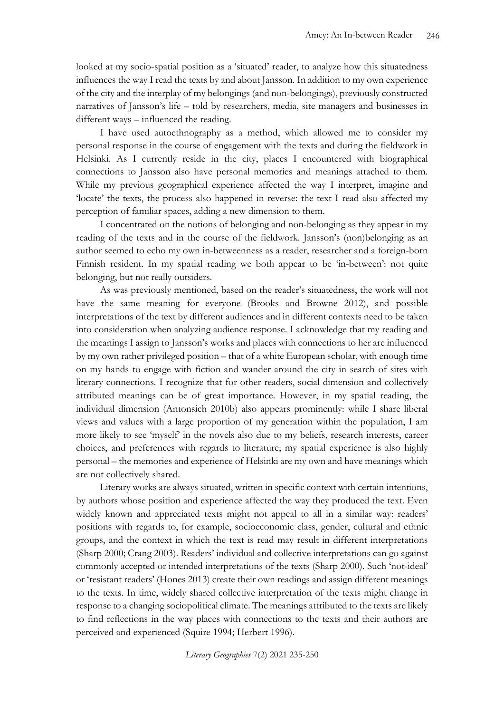looked at my socio-spatial position as a 'situated' reader, to analyze how this situatedness influences the way I read the texts by and about Jansson. In addition to my own experience of the city and the interplay of my belongings (and non-belongings), previously constructed narratives of Jansson's life – told by researchers, media, site managers and businesses in different ways – influenced the reading.

I have used autoethnography as a method, which allowed me to consider my personal response in the course of engagement with the texts and during the fieldwork in Helsinki. As I currently reside in the city, places I encountered with biographical connections to Jansson also have personal memories and meanings attached to them. While my previous geographical experience affected the way I interpret, imagine and 'locate' the texts, the process also happened in reverse: the text I read also affected my perception of familiar spaces, adding a new dimension to them.

I concentrated on the notions of belonging and non-belonging as they appear in my reading of the texts and in the course of the fieldwork. Jansson's (non)belonging as an author seemed to echo my own in-betweenness as a reader, researcher and a foreign-born Finnish resident. In my spatial reading we both appear to be 'in-between': not quite belonging, but not really outsiders.

As was previously mentioned, based on the reader's situatedness, the work will not have the same meaning for everyone (Brooks and Browne 2012), and possible interpretations of the text by different audiences and in different contexts need to be taken into consideration when analyzing audience response. I acknowledge that my reading and the meanings I assign to Jansson's works and places with connections to her are influenced by my own rather privileged position – that of a white European scholar, with enough time on my hands to engage with fiction and wander around the city in search of sites with literary connections. I recognize that for other readers, social dimension and collectively attributed meanings can be of great importance. However, in my spatial reading, the individual dimension (Antonsich 2010b) also appears prominently: while I share liberal views and values with a large proportion of my generation within the population, I am more likely to see 'myself' in the novels also due to my beliefs, research interests, career choices, and preferences with regards to literature; my spatial experience is also highly personal – the memories and experience of Helsinki are my own and have meanings which are not collectively shared.

Literary works are always situated, written in specific context with certain intentions, by authors whose position and experience affected the way they produced the text. Even widely known and appreciated texts might not appeal to all in a similar way: readers' positions with regards to, for example, socioeconomic class, gender, cultural and ethnic groups, and the context in which the text is read may result in different interpretations (Sharp 2000; Crang 2003). Readers' individual and collective interpretations can go against commonly accepted or intended interpretations of the texts (Sharp 2000). Such 'not-ideal' or 'resistant readers' (Hones 2013) create their own readings and assign different meanings to the texts. In time, widely shared collective interpretation of the texts might change in response to a changing sociopolitical climate. The meanings attributed to the texts are likely to find reflections in the way places with connections to the texts and their authors are perceived and experienced (Squire 1994; Herbert 1996).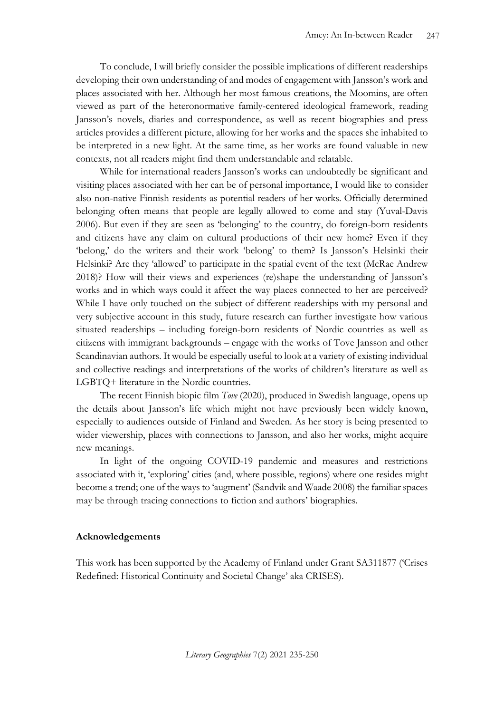To conclude, I will briefly consider the possible implications of different readerships developing their own understanding of and modes of engagement with Jansson's work and places associated with her. Although her most famous creations, the Moomins, are often viewed as part of the heteronormative family-centered ideological framework, reading Jansson's novels, diaries and correspondence, as well as recent biographies and press articles provides a different picture, allowing for her works and the spaces she inhabited to be interpreted in a new light. At the same time, as her works are found valuable in new contexts, not all readers might find them understandable and relatable.

While for international readers Jansson's works can undoubtedly be significant and visiting places associated with her can be of personal importance, I would like to consider also non-native Finnish residents as potential readers of her works. Officially determined belonging often means that people are legally allowed to come and stay (Yuval-Davis 2006). But even if they are seen as 'belonging' to the country, do foreign-born residents and citizens have any claim on cultural productions of their new home? Even if they 'belong,' do the writers and their work 'belong' to them? Is Jansson's Helsinki their Helsinki? Are they 'allowed' to participate in the spatial event of the text (McRae Andrew 2018)? How will their views and experiences (re)shape the understanding of Jansson's works and in which ways could it affect the way places connected to her are perceived? While I have only touched on the subject of different readerships with my personal and very subjective account in this study, future research can further investigate how various situated readerships – including foreign-born residents of Nordic countries as well as citizens with immigrant backgrounds – engage with the works of Tove Jansson and other Scandinavian authors. It would be especially useful to look at a variety of existing individual and collective readings and interpretations of the works of children's literature as well as LGBTQ+ literature in the Nordic countries.

The recent Finnish biopic film *Tove* (2020), produced in Swedish language, opens up the details about Jansson's life which might not have previously been widely known, especially to audiences outside of Finland and Sweden. As her story is being presented to wider viewership, places with connections to Jansson, and also her works, might acquire new meanings.

In light of the ongoing COVID-19 pandemic and measures and restrictions associated with it, 'exploring' cities (and, where possible, regions) where one resides might become a trend; one of the ways to 'augment' (Sandvik and Waade 2008) the familiar spaces may be through tracing connections to fiction and authors' biographies.

#### **Acknowledgements**

This work has been supported by the Academy of Finland under Grant SA311877 ('Crises Redefined: Historical Continuity and Societal Change' aka CRISES).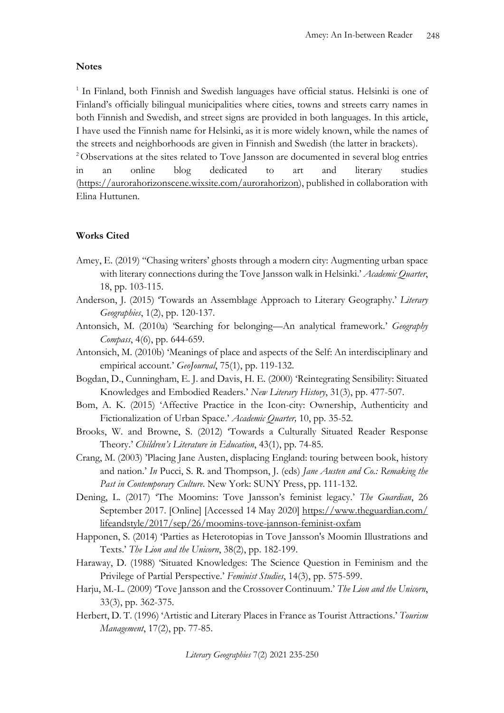#### **Notes**

<sup>1</sup> In Finland, both Finnish and Swedish languages have official status. Helsinki is one of Finland's officially bilingual municipalities where cities, towns and streets carry names in both Finnish and Swedish, and street signs are provided in both languages. In this article, I have used the Finnish name for Helsinki, as it is more widely known, while the names of the streets and neighborhoods are given in Finnish and Swedish (the latter in brackets).

<sup>2</sup> Observations at the sites related to Tove Jansson are documented in several blog entries in an online blog dedicated to art and literary studies [\(https://aurorahorizonscene.wixsite.com/aurorahorizon\)](https://aurorahorizonscene.wixsite.com/aurorahorizon), published in collaboration with Elina Huttunen.

#### **Works Cited**

- Amey, E. (2019) ''Chasing writers' ghosts through a modern city: Augmenting urban space with literary connections during the Tove Jansson walk in Helsinki.' *Academic Quarter*, 18, pp. 103-115.
- Anderson, J. (2015) 'Towards an Assemblage Approach to Literary Geography.' *Literary Geographies*, 1(2), pp. 120-137.
- Antonsich, M. (2010a) 'Searching for belonging—An analytical framework.' *Geography Compass*, 4(6), pp. 644-659.
- Antonsich, M. (2010b) 'Meanings of place and aspects of the Self: An interdisciplinary and empirical account.' *GeoJournal*, 75(1), pp. 119-132.
- Bogdan, D., Cunningham, E. J. and Davis, H. E. (2000) 'Reintegrating Sensibility: Situated Knowledges and Embodied Readers.' *New Literary History*, 31(3), pp. 477-507.
- Bom, A. K. (2015) 'Affective Practice in the Icon-city: Ownership, Authenticity and Fictionalization of Urban Space.' *Academic Quarter,* 10, pp. 35-52.
- Brooks, W. and Browne, S. (2012) 'Towards a Culturally Situated Reader Response Theory.' *Children's Literature in Education*, 43(1), pp. 74-85.
- Crang, M. (2003) 'Placing Jane Austen, displacing England: touring between book, history and nation.' *In* Pucci, S. R. and Thompson, J. (eds) *Jane Austen and Co.: Remaking the Past in Contemporary Culture*. New York: SUNY Press, pp. 111-132.
- Dening, L. (2017) 'The Moomins: Tove Jansson's feminist legacy.' *The Guardian*, 26 September 2017. [Online] [Accessed 14 May 2020] [https://www.theguardian.com/](https://www.theguardian.com/lifeandstyle/2017/sep/26/moomins-tove-jannson-feminist-oxfam) [lifeandstyle/2017/sep/26/moomins-tove-jannson-feminist-oxfam](https://www.theguardian.com/lifeandstyle/2017/sep/26/moomins-tove-jannson-feminist-oxfam)
- Happonen, S. (2014) 'Parties as Heterotopias in Tove Jansson's Moomin Illustrations and Texts.' *The Lion and the Unicorn*, 38(2), pp. 182-199.
- Haraway, D. (1988) 'Situated Knowledges: The Science Question in Feminism and the Privilege of Partial Perspective.' *Feminist Studies*, 14(3), pp. 575-599.
- Harju, M.-L. (2009) 'Tove Jansson and the Crossover Continuum.' *The Lion and the Unicorn*, 33(3), pp. 362-375.
- Herbert, D. T. (1996) 'Artistic and Literary Places in France as Tourist Attractions.' *Tourism Management*, 17(2), pp. 77-85.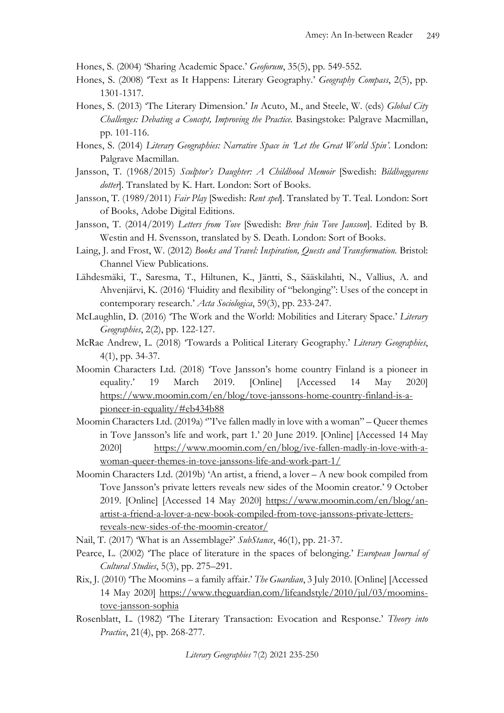Hones, S. (2004) 'Sharing Academic Space.' *Geoforum*, 35(5), pp. 549-552.

- Hones, S. (2008) 'Text as It Happens: Literary Geography.' *Geography Compass*, 2(5), pp. 1301-1317.
- Hones, S. (2013) 'The Literary Dimension.' *In* Acuto, M., and Steele, W. (eds) *Global City Challenges: Debating a Concept, Improving the Practice.* Basingstoke: Palgrave Macmillan, pp. 101-116.
- Hones, S. (2014) *Literary Geographies: Narrative Space in 'Let the Great World Spin'.* London: Palgrave Macmillan.
- Jansson, T. (1968/2015) *Sculptor's Daughter: A Childhood Memoir* [Swedish: *Bildhuggarens dotter*]. Translated by K. Hart. London: Sort of Books.
- Jansson, T. (1989/2011) *Fair Play* [Swedish: *Rent spel*]. Translated by T. Teal. London: Sort of Books, Adobe Digital Editions.
- Jansson, T. (2014/2019) *Letters from Tove* [Swedish: *Brev från Tove Jansson*]. Edited by B. Westin and H. Svensson, translated by S. Death. London: Sort of Books.
- Laing, J. and Frost, W. (2012) *Books and Travel: Inspiration, Quests and Transformation.* Bristol: Channel View Publications.
- Lähdesmäki, T., Saresma, T., Hiltunen, K., Jäntti, S., Sääskilahti, N., Vallius, A. and Ahvenjärvi, K. (2016) 'Fluidity and flexibility of "belonging": Uses of the concept in contemporary research.' *Acta Sociologica*, 59(3), pp. 233-247.
- McLaughlin, D. (2016) 'The Work and the World: Mobilities and Literary Space.' *Literary Geographies*, 2(2), pp. 122-127.
- McRae Andrew, L. (2018) 'Towards a Political Literary Geography.' *Literary Geographies*, 4(1), pp. 34-37.
- Moomin Characters Ltd. (2018) 'Tove Jansson's home country Finland is a pioneer in equality.' 19 March 2019. [Online] [Accessed 14 May 2020] [https://www.moomin.com/en/blog/tove-janssons-home-country-finland-is-a](https://www.moomin.com/en/blog/tove-janssons-home-country-finland-is-a-pioneer-in-equality/#eb434b88)[pioneer-in-equality/#eb434b88](https://www.moomin.com/en/blog/tove-janssons-home-country-finland-is-a-pioneer-in-equality/#eb434b88)
- Moomin Characters Ltd. (2019a) "I've fallen madly in love with a woman" Queer themes in Tove Jansson's life and work, part 1.' 20 June 2019. [Online] [Accessed 14 May 2020] [https://www.moomin.com/en/blog/ive-fallen-madly-in-love-with-a](https://www.moomin.com/en/blog/ive-fallen-madly-in-love-with-a-woman-queer-themes-in-tove-janssons-life-and-work-part-1/)[woman-queer-themes-in-tove-janssons-life-and-work-part-1/](https://www.moomin.com/en/blog/ive-fallen-madly-in-love-with-a-woman-queer-themes-in-tove-janssons-life-and-work-part-1/)
- Moomin Characters Ltd. (2019b) 'An artist, a friend, a lover A new book compiled from Tove Jansson's private letters reveals new sides of the Moomin creator.' 9 October 2019. [Online] [Accessed 14 May 2020] [https://www.moomin.com/en/blog/an](https://www.moomin.com/en/blog/an-artist-a-friend-a-lover-a-new-book-compiled-from-tove-janssons-private-letters-reveals-new-sides-of-the-moomin-creator/)[artist-a-friend-a-lover-a-new-book-compiled-from-tove-janssons-private-letters](https://www.moomin.com/en/blog/an-artist-a-friend-a-lover-a-new-book-compiled-from-tove-janssons-private-letters-reveals-new-sides-of-the-moomin-creator/)[reveals-new-sides-of-the-moomin-creator/](https://www.moomin.com/en/blog/an-artist-a-friend-a-lover-a-new-book-compiled-from-tove-janssons-private-letters-reveals-new-sides-of-the-moomin-creator/)
- Nail, T. (2017) 'What is an Assemblage?' *SubStance*, 46(1), pp. 21-37.
- Pearce, L. (2002) 'The place of literature in the spaces of belonging.' *European Journal of Cultural Studies*, 5(3), pp. 275–291.
- Rix, J. (2010) 'The Moomins a family affair.' *The Guardian*, 3 July 2010. [Online] [Accessed 14 May 2020] [https://www.theguardian.com/lifeandstyle/2010/jul/03/moomins](https://www.theguardian.com/lifeandstyle/2010/jul/03/moomins-tove-jansson-sophia)[tove-jansson-sophia](https://www.theguardian.com/lifeandstyle/2010/jul/03/moomins-tove-jansson-sophia)
- Rosenblatt, L. (1982) 'The Literary Transaction: Evocation and Response.' *Theory into Practice*, 21(4), pp. 268-277.